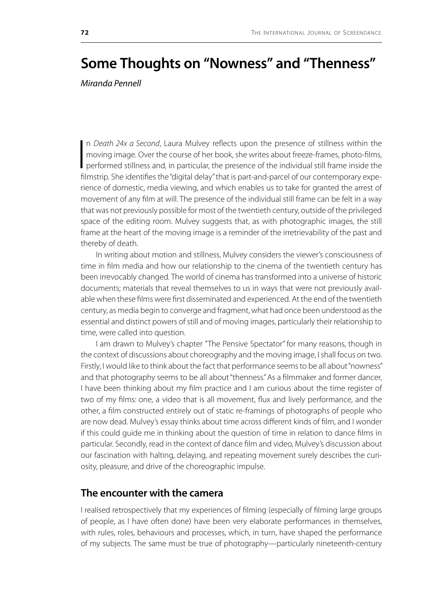# **Some Thoughts on "Nowness" and "Thenness"**

*Miranda Pennell*

 $\frac{1}{2}$ n *Death 24x a Second*, Laura Mulvey reflects upon the presence of stillness within the moving image. Over the course of her book, she writes about freeze-frames, photo-films, performed stillness and, in particular, the presence of the individual still frame inside the filmstrip. She identifies the "digital delay" that is part-and-parcel of our contemporary experience of domestic, media viewing, and which enables us to take for granted the arrest of movement of any film at will. The presence of the individual still frame can be felt in a way that was not previously possible for most of the twentieth century, outside of the privileged space of the editing room. Mulvey suggests that, as with photographic images, the still frame at the heart of the moving image is a reminder of the irretrievability of the past and thereby of death.

In writing about motion and stillness, Mulvey considers the viewer's consciousness of time in film media and how our relationship to the cinema of the twentieth century has been irrevocably changed. The world of cinema has transformed into a universe of historic documents; materials that reveal themselves to us in ways that were not previously available when these films were first disseminated and experienced. At the end of the twentieth century, as media begin to converge and fragment, what had once been understood as the essential and distinct powers of still and of moving images, particularly their relationship to time, were called into question.

I am drawn to Mulvey's chapter "The Pensive Spectator" for many reasons, though in the context of discussions about choreography and the moving image, I shall focus on two. Firstly, I would like to think about the fact that performance seems to be all about "nowness" and that photography seems to be all about "thenness." As a filmmaker and former dancer, I have been thinking about my film practice and I am curious about the time register of two of my films: one, a video that is all movement, flux and lively performance, and the other, a film constructed entirely out of static re-framings of photographs of people who are now dead. Mulvey's essay thinks about time across different kinds of film, and I wonder if this could guide me in thinking about the question of time in relation to dance films in particular. Secondly, read in the context of dance film and video, Mulvey's discussion about our fascination with halting, delaying, and repeating movement surely describes the curiosity, pleasure, and drive of the choreographic impulse.

## **The encounter with the camera**

I realised retrospectively that my experiences of filming (especially of filming large groups of people, as I have often done) have been very elaborate performances in themselves, with rules, roles, behaviours and processes, which, in turn, have shaped the performance of my subjects. The same must be true of photography—particularly nineteenth-century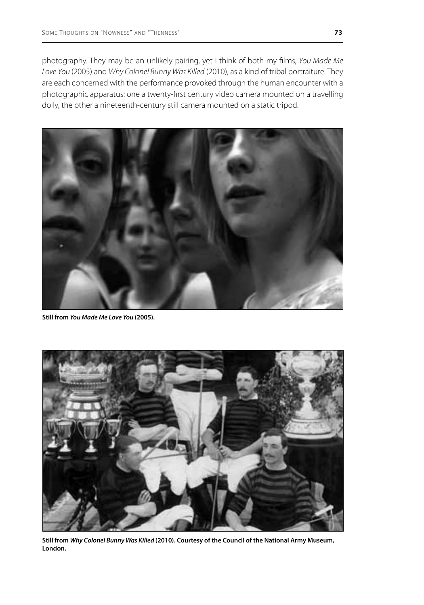photography. They may be an unlikely pairing, yet I think of both my films, *You Made Me Love You* (2005) and *Why Colonel Bunny Was Killed* (2010), as a kind of tribal portraiture. They are each concerned with the performance provoked through the human encounter with a photographic apparatus: one a twenty-first century video camera mounted on a travelling dolly, the other a nineteenth-century still camera mounted on a static tripod.



**Still from** *You Made Me Love You* **(2005).**



**Still from** *Why Colonel Bunny Was Killed* **(2010). Courtesy of the Council of the National Army Museum, London.**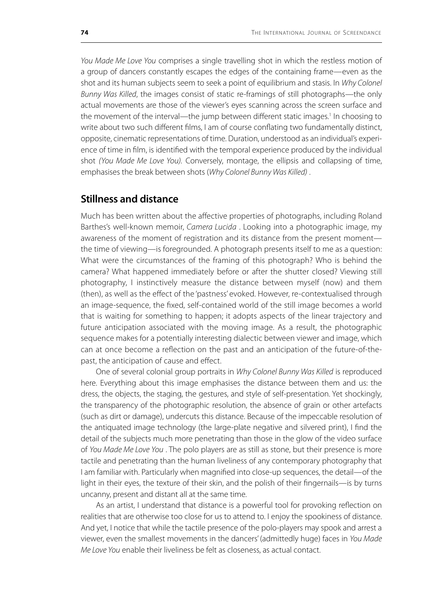*You Made Me Love You* comprises a single travelling shot in which the restless motion of a group of dancers constantly escapes the edges of the containing frame—even as the shot and its human subjects seem to seek a point of equilibrium and stasis. In *Why Colonel Bunny Was Killed*, the images consist of static re-framings of still photographs—the only actual movements are those of the viewer's eyes scanning across the screen surface and the movement of the interval—the jump between different static images.<sup>1</sup> In choosing to write about two such different films, I am of course conflating two fundamentally distinct, opposite, cinematic representations of time. Duration, understood as an individual's experience of time in film, is identified with the temporal experience produced by the individual shot *(You Made Me Love You).* Conversely, montage, the ellipsis and collapsing of time, emphasises the break between shots (*Why Colonel Bunny Was Killed)* .

# **Stillness and distance**

Much has been written about the affective properties of photographs, including Roland Barthes's well-known memoir, *Camera Lucida* . Looking into a photographic image, my awareness of the moment of registration and its distance from the present moment the time of viewing—is foregrounded. A photograph presents itself to me as a question: What were the circumstances of the framing of this photograph? Who is behind the camera? What happened immediately before or after the shutter closed? Viewing still photography, I instinctively measure the distance between myself (now) and them (then), as well as the effect of the 'pastness' evoked. However, re-contextualised through an image-sequence, the fixed, self-contained world of the still image becomes a world that is waiting for something to happen; it adopts aspects of the linear trajectory and future anticipation associated with the moving image. As a result, the photographic sequence makes for a potentially interesting dialectic between viewer and image, which can at once become a reflection on the past and an anticipation of the future-of-thepast, the anticipation of cause and effect.

One of several colonial group portraits in *Why Colonel Bunny Was Killed* is reproduced here. Everything about this image emphasises the distance between them and us: the dress, the objects, the staging, the gestures, and style of self-presentation. Yet shockingly, the transparency of the photographic resolution, the absence of grain or other artefacts (such as dirt or damage), undercuts this distance. Because of the impeccable resolution of the antiquated image technology (the large-plate negative and silvered print), I find the detail of the subjects much more penetrating than those in the glow of the video surface of *You Made Me Love You* . The polo players are as still as stone, but their presence is more tactile and penetrating than the human liveliness of any contemporary photography that I am familiar with. Particularly when magnified into close-up sequences, the detail—of the light in their eyes, the texture of their skin, and the polish of their fingernails—is by turns uncanny, present and distant all at the same time.

As an artist, I understand that distance is a powerful tool for provoking reflection on realities that are otherwise too close for us to attend to. I enjoy the spookiness of distance. And yet, I notice that while the tactile presence of the polo-players may spook and arrest a viewer, even the smallest movements in the dancers' (admittedly huge) faces in *You Made Me Love You* enable their liveliness be felt as closeness, as actual contact.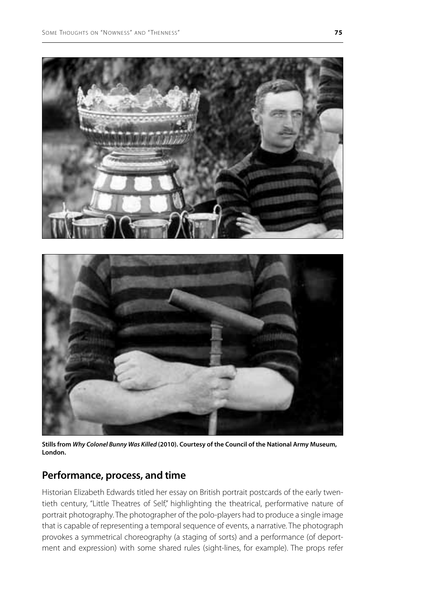

**Stills from** *Why Colonel Bunny Was Killed* **(2010). Courtesy of the Council of the National Army Museum, London.** 

## **Performance, process, and time**

Historian Elizabeth Edwards titled her essay on British portrait postcards of the early twentieth century, "Little Theatres of Self," highlighting the theatrical, performative nature of portrait photography. The photographer of the polo-players had to produce a single image that is capable of representing a temporal sequence of events, a narrative. The photograph provokes a symmetrical choreography (a staging of sorts) and a performance (of deportment and expression) with some shared rules (sight-lines, for example). The props refer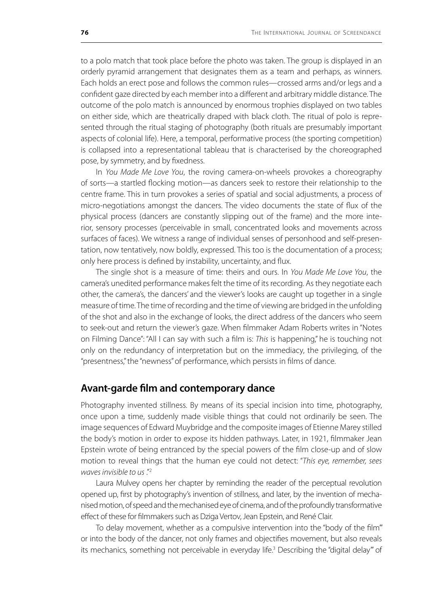to a polo match that took place before the photo was taken. The group is displayed in an orderly pyramid arrangement that designates them as a team and perhaps, as winners. Each holds an erect pose and follows the common rules—crossed arms and/or legs and a confident gaze directed by each member into a different and arbitrary middle distance. The outcome of the polo match is announced by enormous trophies displayed on two tables on either side, which are theatrically draped with black cloth. The ritual of polo is represented through the ritual staging of photography (both rituals are presumably important aspects of colonial life). Here, a temporal, performative process (the sporting competition) is collapsed into a representational tableau that is characterised by the choreographed pose, by symmetry, and by fixedness.

In *You Made Me Love You*, the roving camera-on-wheels provokes a choreography of sorts—a startled flocking motion—as dancers seek to restore their relationship to the centre frame. This in turn provokes a series of spatial and social adjustments, a process of micro-negotiations amongst the dancers. The video documents the state of flux of the physical process (dancers are constantly slipping out of the frame) and the more interior, sensory processes (perceivable in small, concentrated looks and movements across surfaces of faces). We witness a range of individual senses of personhood and self-presentation, now tentatively, now boldly, expressed. This too is the documentation of a process; only here process is defined by instability, uncertainty, and flux.

The single shot is a measure of time: theirs and ours. In *You Made Me Love You*, the camera's unedited performance makes felt the time of its recording. As they negotiate each other, the camera's, the dancers' and the viewer's looks are caught up together in a single measure of time. The time of recording and the time of viewing are bridged in the unfolding of the shot and also in the exchange of looks, the direct address of the dancers who seem to seek-out and return the viewer's gaze. When filmmaker Adam Roberts writes in "Notes on Filming Dance": "All I can say with such a film is: *This* is happening," he is touching not only on the redundancy of interpretation but on the immediacy, the privileging, of the "presentness," the "newness" of performance, which persists in films of dance.

## **Avant-garde film and contemporary dance**

Photography invented stillness. By means of its special incision into time, photography, once upon a time, suddenly made visible things that could not ordinarily be seen. The image sequences of Edward Muybridge and the composite images of Etienne Marey stilled the body's motion in order to expose its hidden pathways. Later, in 1921, filmmaker Jean Epstein wrote of being entranced by the special powers of the film close-up and of slow motion to reveal things that the human eye could not detect: "*This eye, remember, sees waves invisible to us* ."2

Laura Mulvey opens her chapter by reminding the reader of the perceptual revolution opened up, first by photography's invention of stillness, and later, by the invention of mechanised motion, of speed and the mechanised eye of cinema, and of the profoundly transformative effect of these for filmmakers such as Dziga Vertov, Jean Epstein, and René Clair.

To delay movement, whether as a compulsive intervention into the "body of the film'" or into the body of the dancer, not only frames and objectifies movement, but also reveals its mechanics, something not perceivable in everyday life.<sup>3</sup> Describing the "digital delay'" of